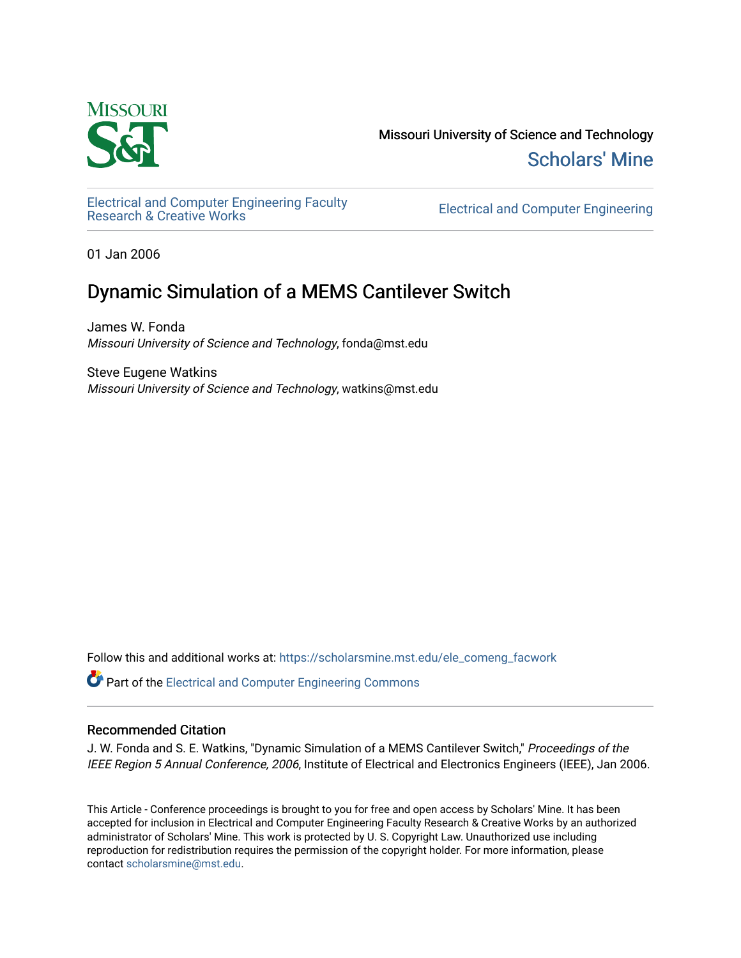

Missouri University of Science and Technology [Scholars' Mine](https://scholarsmine.mst.edu/) 

[Electrical and Computer Engineering Faculty](https://scholarsmine.mst.edu/ele_comeng_facwork)

**Electrical and Computer Engineering** 

01 Jan 2006

# Dynamic Simulation of a MEMS Cantilever Switch

James W. Fonda Missouri University of Science and Technology, fonda@mst.edu

Steve Eugene Watkins Missouri University of Science and Technology, watkins@mst.edu

Follow this and additional works at: [https://scholarsmine.mst.edu/ele\\_comeng\\_facwork](https://scholarsmine.mst.edu/ele_comeng_facwork?utm_source=scholarsmine.mst.edu%2Fele_comeng_facwork%2F1567&utm_medium=PDF&utm_campaign=PDFCoverPages)

Part of the [Electrical and Computer Engineering Commons](http://network.bepress.com/hgg/discipline/266?utm_source=scholarsmine.mst.edu%2Fele_comeng_facwork%2F1567&utm_medium=PDF&utm_campaign=PDFCoverPages) 

# Recommended Citation

J. W. Fonda and S. E. Watkins, "Dynamic Simulation of a MEMS Cantilever Switch," Proceedings of the IEEE Region 5 Annual Conference, 2006, Institute of Electrical and Electronics Engineers (IEEE), Jan 2006.

This Article - Conference proceedings is brought to you for free and open access by Scholars' Mine. It has been accepted for inclusion in Electrical and Computer Engineering Faculty Research & Creative Works by an authorized administrator of Scholars' Mine. This work is protected by U. S. Copyright Law. Unauthorized use including reproduction for redistribution requires the permission of the copyright holder. For more information, please contact [scholarsmine@mst.edu](mailto:scholarsmine@mst.edu).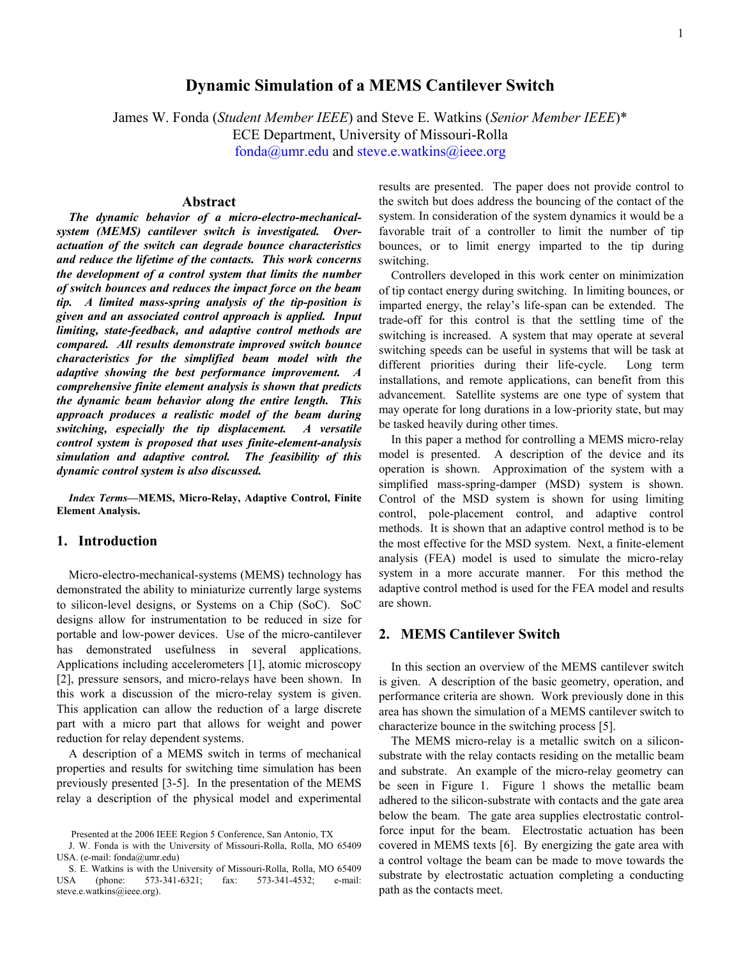# **Dynamic Simulation of a MEMS Cantilever Switch**

James W. Fonda (*Student Member IEEE*) and Steve E. Watkins (*Senior Member IEEE*)\*

ECE Department, University of Missouri-Rolla

fonda@umr.edu and steve.e.watkins@ieee.org

### **Abstract**

*The dynamic behavior of a micro-electro-mechanicalsystem (MEMS) cantilever switch is investigated. Overactuation of the switch can degrade bounce characteristics and reduce the lifetime of the contacts. This work concerns the development of a control system that limits the number of switch bounces and reduces the impact force on the beam tip. A limited mass-spring analysis of the tip-position is given and an associated control approach is applied. Input limiting, state-feedback, and adaptive control methods are compared. All results demonstrate improved switch bounce characteristics for the simplified beam model with the adaptive showing the best performance improvement. A comprehensive finite element analysis is shown that predicts the dynamic beam behavior along the entire length. This approach produces a realistic model of the beam during switching, especially the tip displacement. A versatile control system is proposed that uses finite-element-analysis simulation and adaptive control. The feasibility of this dynamic control system is also discussed.*

*Index Terms***—MEMS, Micro-Relay, Adaptive Control, Finite Element Analysis.** 

## **1. Introduction**

Micro-electro-mechanical-systems (MEMS) technology has demonstrated the ability to miniaturize currently large systems to silicon-level designs, or Systems on a Chip (SoC). SoC designs allow for instrumentation to be reduced in size for portable and low-power devices. Use of the micro-cantilever has demonstrated usefulness in several applications. Applications including accelerometers [1], atomic microscopy [2], pressure sensors, and micro-relays have been shown. In this work a discussion of the micro-relay system is given. This application can allow the reduction of a large discrete part with a micro part that allows for weight and power reduction for relay dependent systems.

A description of a MEMS switch in terms of mechanical properties and results for switching time simulation has been previously presented [3-5]. In the presentation of the MEMS relay a description of the physical model and experimental results are presented. The paper does not provide control to the switch but does address the bouncing of the contact of the system. In consideration of the system dynamics it would be a favorable trait of a controller to limit the number of tip bounces, or to limit energy imparted to the tip during switching.

Controllers developed in this work center on minimization of tip contact energy during switching. In limiting bounces, or imparted energy, the relay's life-span can be extended. The trade-off for this control is that the settling time of the switching is increased. A system that may operate at several switching speeds can be useful in systems that will be task at different priorities during their life-cycle. Long term installations, and remote applications, can benefit from this advancement. Satellite systems are one type of system that may operate for long durations in a low-priority state, but may be tasked heavily during other times.

In this paper a method for controlling a MEMS micro-relay model is presented. A description of the device and its operation is shown. Approximation of the system with a simplified mass-spring-damper (MSD) system is shown. Control of the MSD system is shown for using limiting control, pole-placement control, and adaptive control methods. It is shown that an adaptive control method is to be the most effective for the MSD system. Next, a finite-element analysis (FEA) model is used to simulate the micro-relay system in a more accurate manner. For this method the adaptive control method is used for the FEA model and results are shown.

### **2. MEMS Cantilever Switch**

In this section an overview of the MEMS cantilever switch is given. A description of the basic geometry, operation, and performance criteria are shown. Work previously done in this area has shown the simulation of a MEMS cantilever switch to characterize bounce in the switching process [5].

The MEMS micro-relay is a metallic switch on a siliconsubstrate with the relay contacts residing on the metallic beam and substrate. An example of the micro-relay geometry can be seen in Figure 1. Figure 1 shows the metallic beam adhered to the silicon-substrate with contacts and the gate area below the beam. The gate area supplies electrostatic controlforce input for the beam. Electrostatic actuation has been covered in MEMS texts [6]. By energizing the gate area with a control voltage the beam can be made to move towards the substrate by electrostatic actuation completing a conducting path as the contacts meet.

Presented at the 2006 IEEE Region 5 Conference, San Antonio, TX

J. W. Fonda is with the University of Missouri-Rolla, Rolla, MO 65409 USA. (e-mail: fonda@umr.edu)

S. E. Watkins is with the University of Missouri-Rolla, Rolla, MO 65409 USA (phone: 573-341-6321; fax: 573-341-4532; e-mail: steve.e.watkins@ieee.org).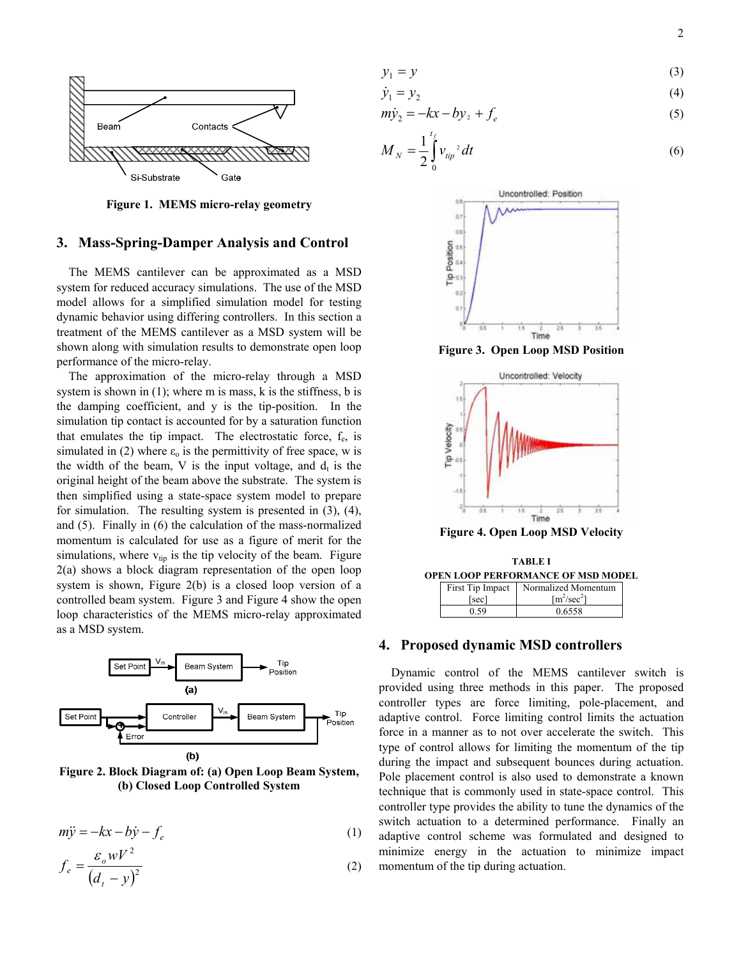$$
y_1 = y \tag{3}
$$

$$
\dot{y}_1 = y_2 \tag{4}
$$

$$
m\dot{y}_2 = -kx - by_2 + f_e \tag{5}
$$

$$
M_N = \frac{1}{2} \int_0^{t_f} v_{lip}^2 dt
$$
 (6)

**Figure 1. MEMS micro-relay geometry** 

# **3. Mass-Spring-Damper Analysis and Control**

The MEMS cantilever can be approximated as a MSD system for reduced accuracy simulations. The use of the MSD model allows for a simplified simulation model for testing dynamic behavior using differing controllers. In this section a treatment of the MEMS cantilever as a MSD system will be shown along with simulation results to demonstrate open loop performance of the micro-relay.

The approximation of the micro-relay through a MSD system is shown in  $(1)$ ; where m is mass, k is the stiffness, b is the damping coefficient, and y is the tip-position. In the simulation tip contact is accounted for by a saturation function that emulates the tip impact. The electrostatic force,  $f_e$ , is simulated in (2) where  $\varepsilon_0$  is the permittivity of free space, w is the width of the beam, V is the input voltage, and  $d_t$  is the original height of the beam above the substrate. The system is then simplified using a state-space system model to prepare for simulation. The resulting system is presented in (3), (4), and (5). Finally in (6) the calculation of the mass-normalized momentum is calculated for use as a figure of merit for the simulations, where  $v_{tip}$  is the tip velocity of the beam. Figure 2(a) shows a block diagram representation of the open loop system is shown, Figure 2(b) is a closed loop version of a controlled beam system. Figure 3 and Figure 4 show the open loop characteristics of the MEMS micro-relay approximated as a MSD system.



**Figure 2. Block Diagram of: (a) Open Loop Beam System, (b) Closed Loop Controlled System** 

$$
m\ddot{y} = -kx - b\dot{y} - f_e \tag{1}
$$

$$
f_e = \frac{\varepsilon_o w V^2}{\left(d_t - y\right)^2} \tag{2}
$$



**Figure 3. Open Loop MSD Position** 



**Figure 4. Open Loop MSD Velocity** 

**TABLE I OPEN LOOP PERFORMANCE OF MSD MODEL** First Tip Impact Normalized Momentum

| тим принрасс<br>sec <sup>1</sup> | TOTHIQHZUU IVIOIIIUIIUIIII<br>$\lceil m^2/\text{sec}^2 \rceil$ |
|----------------------------------|----------------------------------------------------------------|
|                                  |                                                                |
|                                  | 0.6558                                                         |

# **4. Proposed dynamic MSD controllers**

Dynamic control of the MEMS cantilever switch is provided using three methods in this paper. The proposed controller types are force limiting, pole-placement, and adaptive control. Force limiting control limits the actuation force in a manner as to not over accelerate the switch. This type of control allows for limiting the momentum of the tip during the impact and subsequent bounces during actuation. Pole placement control is also used to demonstrate a known technique that is commonly used in state-space control. This controller type provides the ability to tune the dynamics of the switch actuation to a determined performance. Finally an adaptive control scheme was formulated and designed to minimize energy in the actuation to minimize impact momentum of the tip during actuation.

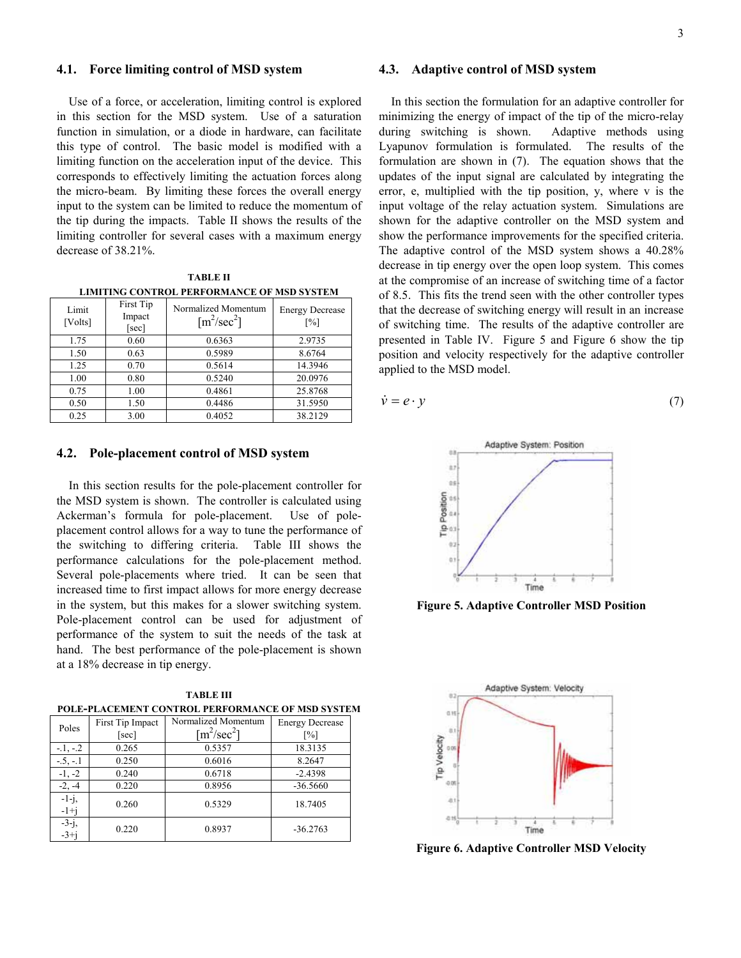#### **4.1. Force limiting control of MSD system**

Use of a force, or acceleration, limiting control is explored in this section for the MSD system. Use of a saturation function in simulation, or a diode in hardware, can facilitate this type of control. The basic model is modified with a limiting function on the acceleration input of the device. This corresponds to effectively limiting the actuation forces along the micro-beam. By limiting these forces the overall energy input to the system can be limited to reduce the momentum of the tip during the impacts. Table II shows the results of the limiting controller for several cases with a maximum energy decrease of 38.21%.

**TABLE II LIMITING CONTROL PERFORMANCE OF MSD SYSTEM**

| Limit<br>[Volts] | First Tip<br>Impact<br>[sec] | Normalized Momentum<br>$\lceil m^2/sec^2 \rceil$ | <b>Energy Decrease</b><br>$\lceil\% \rceil$ |
|------------------|------------------------------|--------------------------------------------------|---------------------------------------------|
| 1.75             | 0.60                         | 0.6363                                           | 2.9735                                      |
| 1.50             | 0.63                         | 0.5989                                           | 8.6764                                      |
| 1.25             | 0.70                         | 0.5614                                           | 14.3946                                     |
| 1.00             | 0.80                         | 0.5240                                           | 20.0976                                     |
| 0.75             | 1.00                         | 0.4861                                           | 25.8768                                     |
| 0.50             | 1.50                         | 0.4486                                           | 31.5950                                     |
| 0.25             | 3.00                         | 0.4052                                           | 38.2129                                     |

#### **4.2. Pole-placement control of MSD system**

In this section results for the pole-placement controller for the MSD system is shown. The controller is calculated using Ackerman's formula for pole-placement. Use of poleplacement control allows for a way to tune the performance of the switching to differing criteria. Table III shows the performance calculations for the pole-placement method. Several pole-placements where tried. It can be seen that increased time to first impact allows for more energy decrease in the system, but this makes for a slower switching system. Pole-placement control can be used for adjustment of performance of the system to suit the needs of the task at hand. The best performance of the pole-placement is shown at a 18% decrease in tip energy.

**TABLE III POLE-PLACEMENT CONTROL PERFORMANCE OF MSD SYSTEM**

| Poles              | First Tip Impact | Normalized Momentum | <b>Energy Decrease</b> |
|--------------------|------------------|---------------------|------------------------|
|                    | [sec]            | $\rm [m^2/sec^2]$   | $\lceil\% \rceil$      |
| $-1, -2$           | 0.265            | 0.5357              | 18.3135                |
| $-.5, -1$          | 0.250            | 0.6016              | 8.2647                 |
| $-1, -2$           | 0.240            | 0.6718              | $-2.4398$              |
| $-2, -4$           | 0.220            | 0.8956              | $-36.5660$             |
| $-1-j$ ,<br>$-1+j$ | 0.260            | 0.5329              | 18.7405                |
| $-3-j$ ,<br>$-3+j$ | 0.220            | 0.8937              | $-36.2763$             |

#### **4.3. Adaptive control of MSD system**

In this section the formulation for an adaptive controller for minimizing the energy of impact of the tip of the micro-relay during switching is shown. Adaptive methods using Lyapunov formulation is formulated. The results of the formulation are shown in (7). The equation shows that the updates of the input signal are calculated by integrating the error, e, multiplied with the tip position, y, where v is the input voltage of the relay actuation system. Simulations are shown for the adaptive controller on the MSD system and show the performance improvements for the specified criteria. The adaptive control of the MSD system shows a 40.28% decrease in tip energy over the open loop system. This comes at the compromise of an increase of switching time of a factor of 8.5. This fits the trend seen with the other controller types that the decrease of switching energy will result in an increase of switching time. The results of the adaptive controller are presented in Table IV. Figure 5 and Figure 6 show the tip position and velocity respectively for the adaptive controller applied to the MSD model.

$$
\dot{\mathbf{v}} = \mathbf{e} \cdot \mathbf{y} \tag{7}
$$



**Figure 5. Adaptive Controller MSD Position** 



**Figure 6. Adaptive Controller MSD Velocity**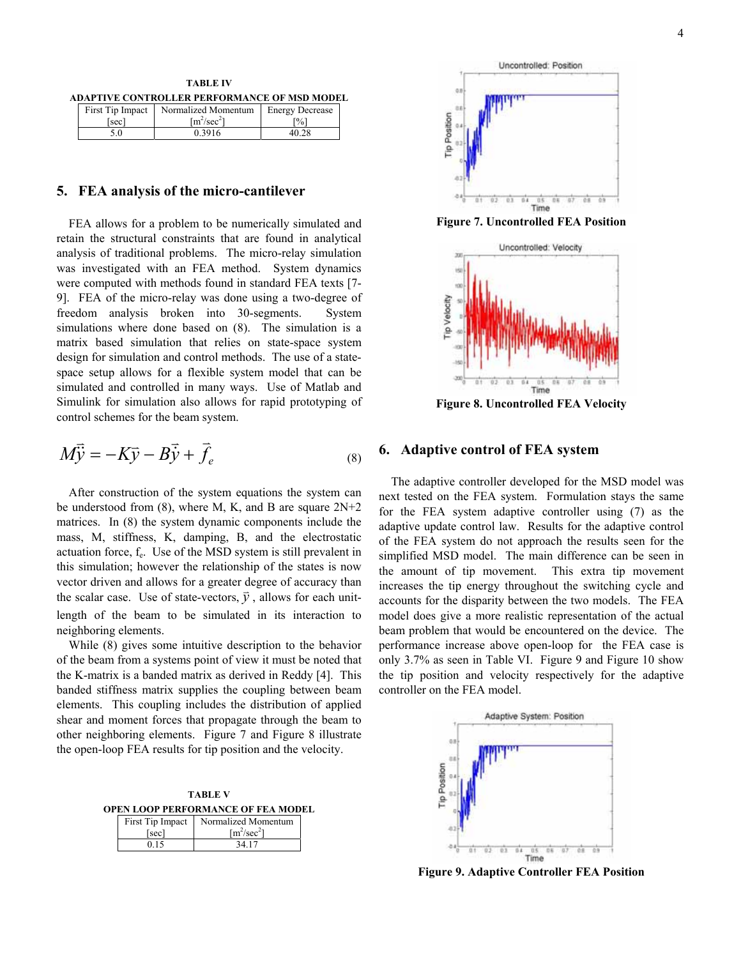**TABLE IV ADAPTIVE CONTROLLER PERFORMANCE OF MSD MODEL**

|     | First Tip Impact Normalized Momentum   Energy Decrease |       |
|-----|--------------------------------------------------------|-------|
| sec | $\lceil m^2/\text{sec}^2 \rceil$                       | [%]   |
| 5.0 | 0.3916                                                 | 40.28 |

### **5. FEA analysis of the micro-cantilever**

FEA allows for a problem to be numerically simulated and retain the structural constraints that are found in analytical analysis of traditional problems. The micro-relay simulation was investigated with an FEA method. System dynamics were computed with methods found in standard FEA texts [7- 9]. FEA of the micro-relay was done using a two-degree of freedom analysis broken into 30-segments. System simulations where done based on (8). The simulation is a matrix based simulation that relies on state-space system design for simulation and control methods. The use of a statespace setup allows for a flexible system model that can be simulated and controlled in many ways. Use of Matlab and Simulink for simulation also allows for rapid prototyping of control schemes for the beam system.

$$
M\vec{\dot{y}} = -K\vec{y} - B\vec{\dot{y}} + \vec{f}_e
$$
 (8)

After construction of the system equations the system can be understood from (8), where M, K, and B are square 2N+2 matrices. In (8) the system dynamic components include the mass, M, stiffness, K, damping, B, and the electrostatic actuation force, fe. Use of the MSD system is still prevalent in this simulation; however the relationship of the states is now vector driven and allows for a greater degree of accuracy than the scalar case. Use of state-vectors,  $\vec{y}$ , allows for each unitlength of the beam to be simulated in its interaction to neighboring elements.

While (8) gives some intuitive description to the behavior of the beam from a systems point of view it must be noted that the K-matrix is a banded matrix as derived in Reddy [4]. This banded stiffness matrix supplies the coupling between beam elements. This coupling includes the distribution of applied shear and moment forces that propagate through the beam to other neighboring elements. Figure 7 and Figure 8 illustrate the open-loop FEA results for tip position and the velocity.

**TABLE V OPEN LOOP PERFORMANCE OF FEA MODEL**

| First Tip Impact | Normalized Momentum              |
|------------------|----------------------------------|
| [sec]            | $\lceil m^2/\text{sec}^2 \rceil$ |
| 0 15             | 34 17                            |



**Figure 7. Uncontrolled FEA Position** 



**Figure 8. Uncontrolled FEA Velocity** 

### **6. Adaptive control of FEA system**

The adaptive controller developed for the MSD model was next tested on the FEA system. Formulation stays the same for the FEA system adaptive controller using (7) as the adaptive update control law. Results for the adaptive control of the FEA system do not approach the results seen for the simplified MSD model. The main difference can be seen in the amount of tip movement. This extra tip movement increases the tip energy throughout the switching cycle and accounts for the disparity between the two models. The FEA model does give a more realistic representation of the actual beam problem that would be encountered on the device. The performance increase above open-loop for the FEA case is only 3.7% as seen in Table VI. Figure 9 and Figure 10 show the tip position and velocity respectively for the adaptive controller on the FEA model.



**Figure 9. Adaptive Controller FEA Position**